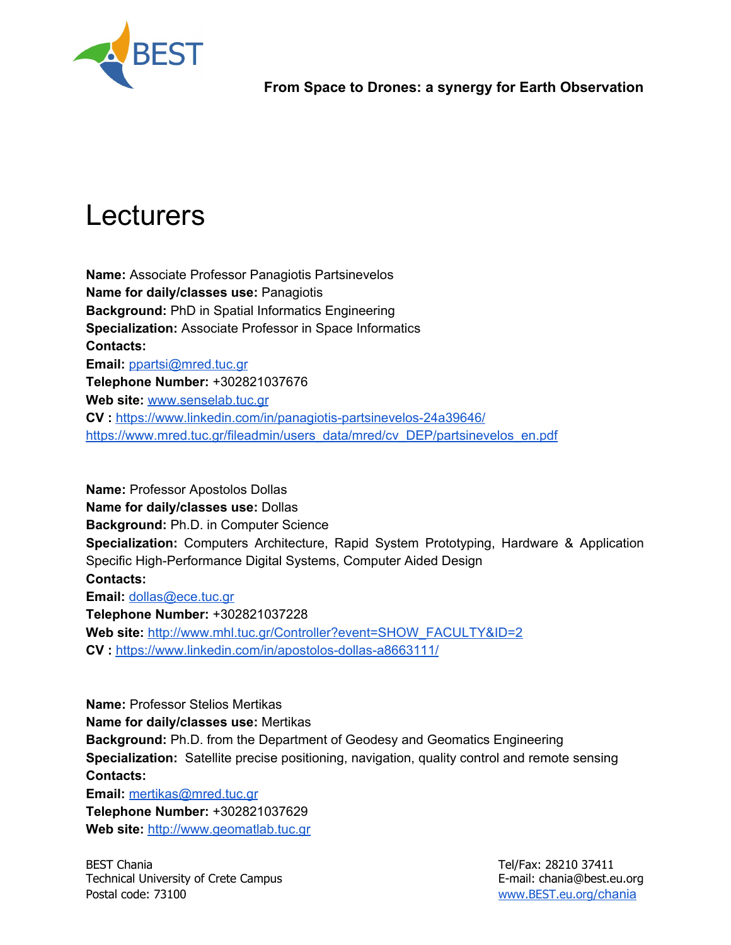

# Lecturers

**Name:**Associate Professor Panagiotis Partsinevelos **Name for daily/classes use:**Panagiotis **Background:** PhD in Spatial Informatics Engineering **Specialization:** Associate Professor in Space Informatics **Contacts: Email:** [ppartsi@mred.tuc.gr](mailto:ppartsi@mred.tuc.gr) **Telephone Number:**+302821037676 **Web site:**[www.senselab.tuc.gr](http://www.senselab.tuc.gr/) **CV :**<https://www.linkedin.com/in/panagiotis-partsinevelos-24a39646/> [https://www.mred.tuc.gr/fileadmin/users\\_data/mred/cv\\_DEP/partsinevelos\\_en.pdf](https://www.mred.tuc.gr/fileadmin/users_data/mred/cv_DEP/partsinevelos_en.pdf)

**Name: Professor Apostolos Dollas Name for daily/classes use: Dollas Background:**Ph.D. in Computer Science **Specialization:** Computers Architecture, Rapid System Prototyping, Hardware & Application Specific High-Performance Digital Systems, Computer Aided Design **Contacts: Email:** [dollas@ece.tuc.gr](mailto:dollas@ece.tuc.gr) **Telephone Number:**+302821037228 **Web site:**[http://www.mhl.tuc.gr/Controller?event=SHOW\\_FACULTY&ID=2](http://www.mhl.tuc.gr/Controller?event=SHOW_FACULTY&ID=2) **CV :**<https://www.linkedin.com/in/apostolos-dollas-a8663111/>

**Name: Professor Stelios Mertikas Name for daily/classes use: Mertikas Background:**Ph.D. from the Department of Geodesy and Geomatics Engineering **Specialization:** Satellite precise positioning, navigation, quality control and remote sensing **Contacts:**

**Email:** [mertikas@mred.tuc.gr](mailto:mertikas@mred.tuc.gr) **Telephone Number:**+302821037629 **Web site:**[http://www.geomatlab.tuc.gr](http://www.geomatlab.tuc.gr/)

BEST Chania Tel/Fax: 28210 37411 Technical University of Crete Campus **E-mail: chania@best.eu.org** Postal code: 73100 [www.BEST.eu.org/](http://www.best.eu.org/chania)[chania](http://www.best.eu.org/chania)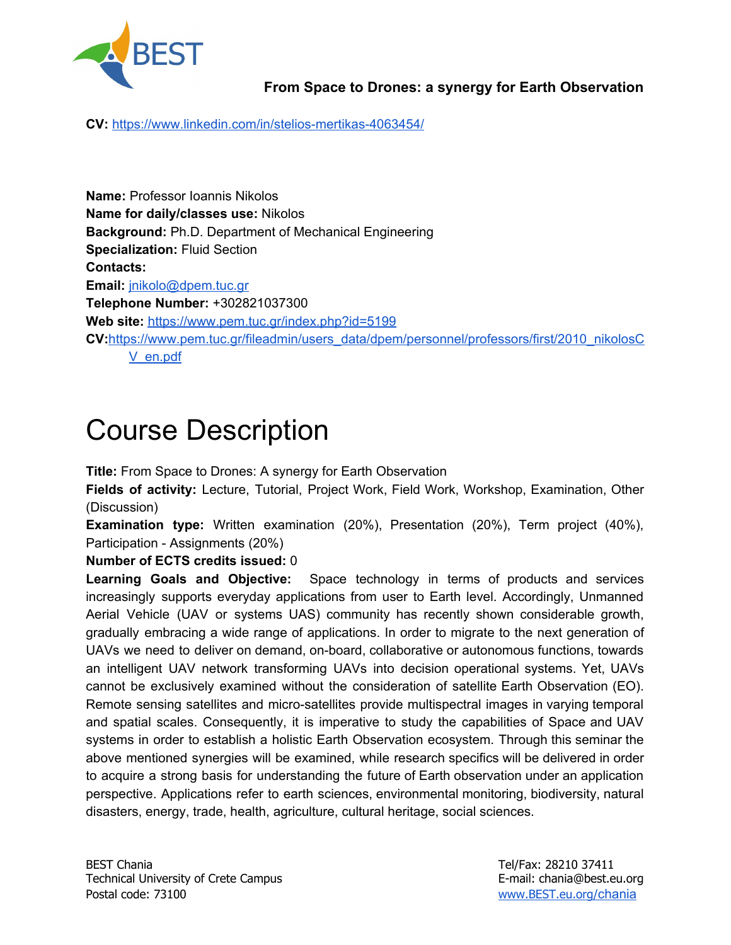

**CV:**<https://www.linkedin.com/in/stelios-mertikas-4063454/>

**Name: Professor Ioannis Nikolos Name for daily/classes use: Nikolos Background:** Ph.D. Department of Mechanical Engineering **Specialization:** Fluid Section **Contacts: Email:** [jnikolo@dpem.tuc.gr](mailto:jnikolo@dpem.tuc.gr) **Telephone Number:**+302821037300 Web site: <https://www.pem.tuc.gr/index.php?id=5199> **CV:**[https://www.pem.tuc.gr/fileadmin/users\\_data/dpem/personnel/professors/first/2010\\_nikolosC](https://www.pem.tuc.gr/fileadmin/users_data/dpem/personnel/professors/first/2010_nikolosCV_en.pdf) [V\\_en.pdf](https://www.pem.tuc.gr/fileadmin/users_data/dpem/personnel/professors/first/2010_nikolosCV_en.pdf)

## Course Description

**Title:** From Space to Drones: A synergy for Earth Observation

**Fields of activity:** Lecture, Tutorial, Project Work, Field Work, Workshop, Examination, Other (Discussion)

**Examination type:** Written examination (20%), Presentation (20%), Term project (40%), Participation - Assignments (20%)

#### **Number of ECTS credits issued:**0

**Learning Goals and Objective:** Space technology in terms of products and services increasingly supports everyday applications from user to Earth level. Accordingly, Unmanned Aerial Vehicle (UAV or systems UAS) community has recently shown considerable growth, gradually embracing a wide range of applications. In order to migrate to the next generation of UAVs we need to deliver on demand, on-board, collaborative or autonomous functions, towards an intelligent UAV network transforming UAVs into decision operational systems. Yet, UAVs cannot be exclusively examined without the consideration of satellite Earth Observation (EO). Remote sensing satellites and micro-satellites provide multispectral images in varying temporal and spatial scales. Consequently, it is imperative to study the capabilities of Space and UAV systems in order to establish a holistic Earth Observation ecosystem. Through this seminar the above mentioned synergies will be examined, while research specifics will be delivered in order to acquire a strong basis for understanding the future of Earth observation under an application perspective. Applications refer to earth sciences, environmental monitoring, biodiversity, natural disasters, energy, trade, health, agriculture, cultural heritage, social sciences.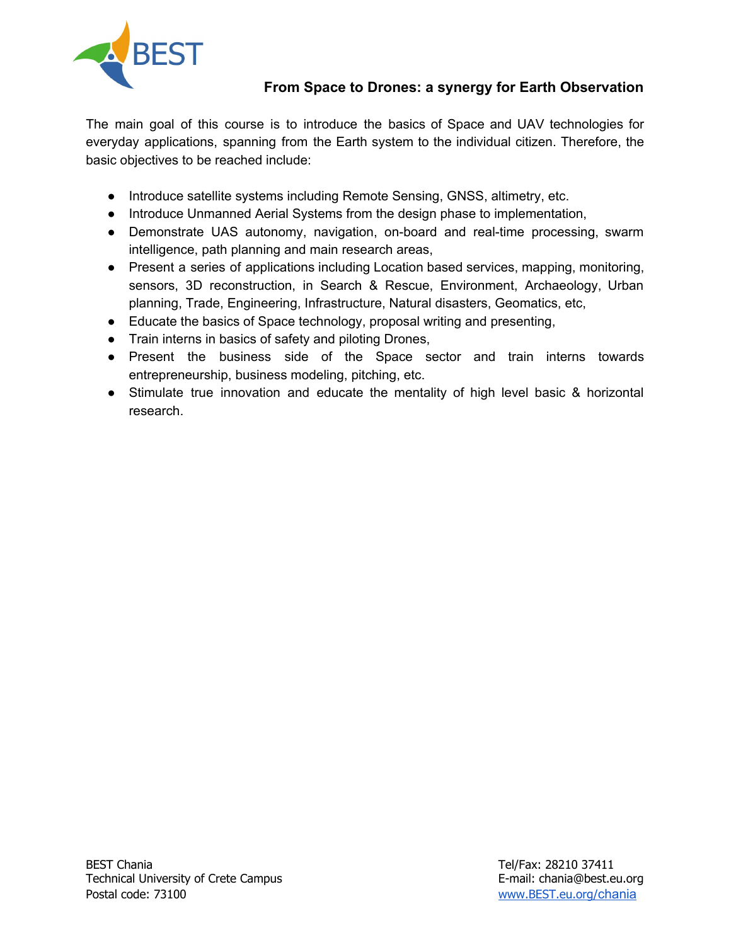

The main goal of this course is to introduce the basics of Space and UAV technologies for everyday applications, spanning from the Earth system to the individual citizen. Therefore, the basic objectives to be reached include:

- Introduce satellite systems including Remote Sensing, GNSS, altimetry, etc.
- Introduce Unmanned Aerial Systems from the design phase to implementation,
- Demonstrate UAS autonomy, navigation, on-board and real-time processing, swarm intelligence, path planning and main research areas,
- Present a series of applications including Location based services, mapping, monitoring, sensors, 3D reconstruction, in Search & Rescue, Environment, Archaeology, Urban planning, Trade, Engineering, Infrastructure, Natural disasters, Geomatics, etc,
- Educate the basics of Space technology, proposal writing and presenting,
- Train interns in basics of safety and piloting Drones,
- Present the business side of the Space sector and train interns towards entrepreneurship, business modeling, pitching, etc.
- Stimulate true innovation and educate the mentality of high level basic & horizontal research.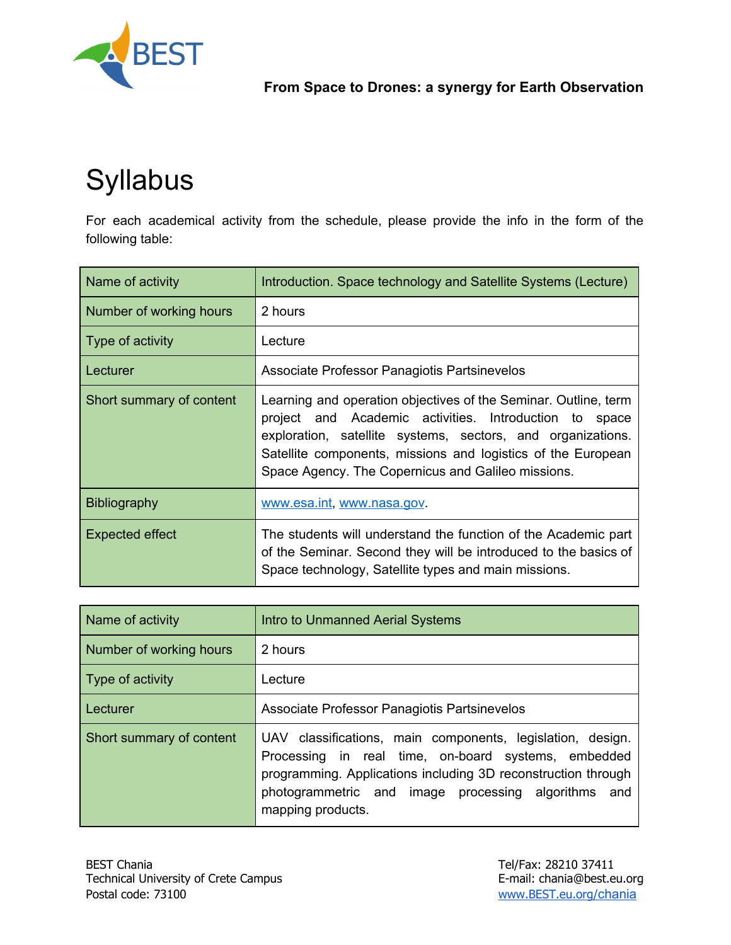

# Syllabus

For each academical activity from the schedule, please provide the info in the form of the following table:

| Name of activity         | Introduction. Space technology and Satellite Systems (Lecture)                                                                                                                                                                                                                                                    |
|--------------------------|-------------------------------------------------------------------------------------------------------------------------------------------------------------------------------------------------------------------------------------------------------------------------------------------------------------------|
| Number of working hours  | 2 hours                                                                                                                                                                                                                                                                                                           |
| Type of activity         | Lecture                                                                                                                                                                                                                                                                                                           |
| Lecturer                 | Associate Professor Panagiotis Partsinevelos                                                                                                                                                                                                                                                                      |
| Short summary of content | Learning and operation objectives of the Seminar. Outline, term<br>project and Academic activities. Introduction to<br>space<br>exploration, satellite systems, sectors, and organizations.<br>Satellite components, missions and logistics of the European<br>Space Agency. The Copernicus and Galileo missions. |
| <b>Bibliography</b>      | www.esa.int, www.nasa.gov.                                                                                                                                                                                                                                                                                        |
| Expected effect          | The students will understand the function of the Academic part<br>of the Seminar. Second they will be introduced to the basics of<br>Space technology, Satellite types and main missions.                                                                                                                         |

| Name of activity         | Intro to Unmanned Aerial Systems                                                                                                                                                                                                                               |
|--------------------------|----------------------------------------------------------------------------------------------------------------------------------------------------------------------------------------------------------------------------------------------------------------|
| Number of working hours  | 2 hours                                                                                                                                                                                                                                                        |
| Type of activity         | Lecture                                                                                                                                                                                                                                                        |
| Lecturer                 | Associate Professor Panagiotis Partsinevelos                                                                                                                                                                                                                   |
| Short summary of content | UAV classifications, main components, legislation, design.<br>Processing in real time, on-board systems, embedded<br>programming. Applications including 3D reconstruction through<br>photogrammetric and image processing algorithms and<br>mapping products. |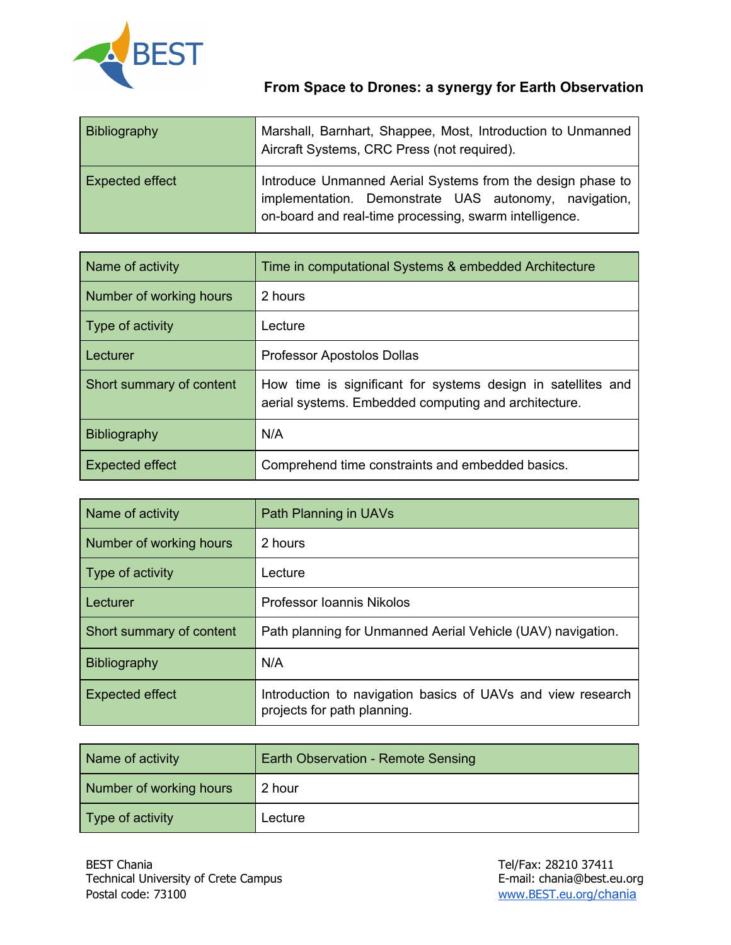

| Bibliography           | Marshall, Barnhart, Shappee, Most, Introduction to Unmanned<br>Aircraft Systems, CRC Press (not required).                                                                    |
|------------------------|-------------------------------------------------------------------------------------------------------------------------------------------------------------------------------|
| <b>Expected effect</b> | Introduce Unmanned Aerial Systems from the design phase to<br>implementation. Demonstrate UAS autonomy, navigation,<br>on-board and real-time processing, swarm intelligence. |

| Name of activity         | Time in computational Systems & embedded Architecture                                                                |
|--------------------------|----------------------------------------------------------------------------------------------------------------------|
| Number of working hours  | 2 hours                                                                                                              |
| Type of activity         | Lecture                                                                                                              |
| l Lecturer               | Professor Apostolos Dollas                                                                                           |
| Short summary of content | How time is significant for systems design in satellites and<br>aerial systems. Embedded computing and architecture. |
| <b>Bibliography</b>      | N/A                                                                                                                  |
| <b>Expected effect</b>   | Comprehend time constraints and embedded basics.                                                                     |

| Name of activity         | Path Planning in UAVs                                                                      |
|--------------------------|--------------------------------------------------------------------------------------------|
| Number of working hours  | 2 hours                                                                                    |
| Type of activity         | Lecture                                                                                    |
| l Lecturer               | Professor Ioannis Nikolos                                                                  |
| Short summary of content | Path planning for Unmanned Aerial Vehicle (UAV) navigation.                                |
| Bibliography             | N/A                                                                                        |
| <b>Expected effect</b>   | Introduction to navigation basics of UAVs and view research<br>projects for path planning. |

| Name of activity        | Earth Observation - Remote Sensing |
|-------------------------|------------------------------------|
| Number of working hours | 2 hour                             |
| Type of activity        | Lecture                            |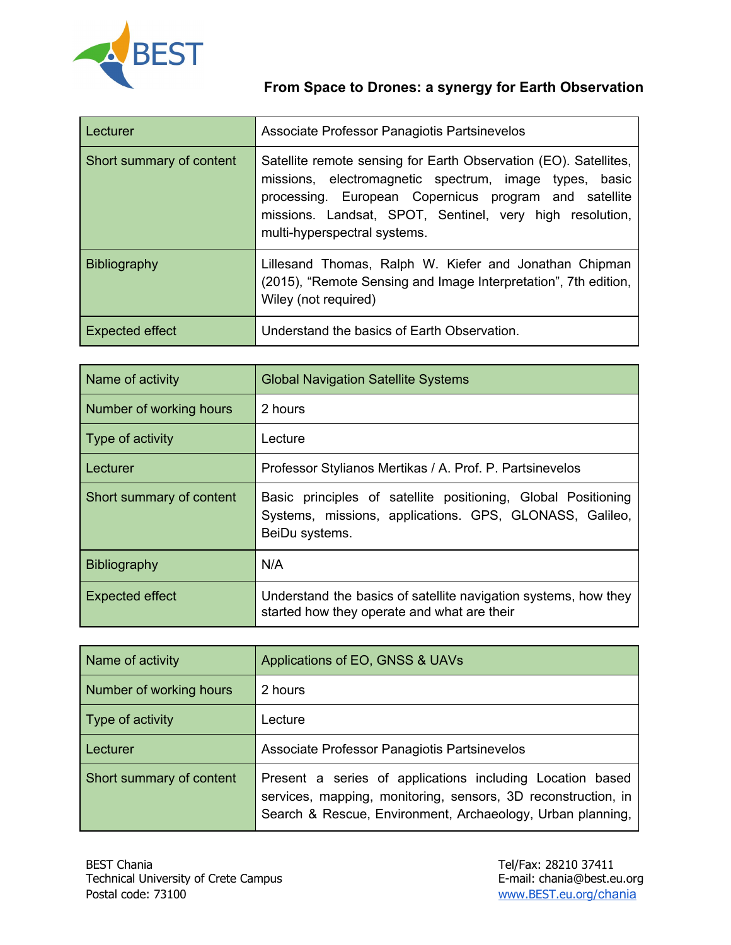

| Lecturer                 | Associate Professor Panagiotis Partsinevelos                                                                                                                                                                                                                                    |
|--------------------------|---------------------------------------------------------------------------------------------------------------------------------------------------------------------------------------------------------------------------------------------------------------------------------|
| Short summary of content | Satellite remote sensing for Earth Observation (EO). Satellites,<br>missions, electromagnetic spectrum, image types, basic<br>processing. European Copernicus program and satellite<br>missions. Landsat, SPOT, Sentinel, very high resolution,<br>multi-hyperspectral systems. |
| <b>Bibliography</b>      | Lillesand Thomas, Ralph W. Kiefer and Jonathan Chipman<br>(2015), "Remote Sensing and Image Interpretation", 7th edition,<br>Wiley (not required)                                                                                                                               |
| Expected effect          | Understand the basics of Earth Observation.                                                                                                                                                                                                                                     |

| Name of activity         | <b>Global Navigation Satellite Systems</b>                                                                                                 |
|--------------------------|--------------------------------------------------------------------------------------------------------------------------------------------|
| Number of working hours  | 2 hours                                                                                                                                    |
| Type of activity         | Lecture                                                                                                                                    |
| Lecturer                 | Professor Stylianos Mertikas / A. Prof. P. Partsinevelos                                                                                   |
| Short summary of content | Basic principles of satellite positioning, Global Positioning<br>Systems, missions, applications. GPS, GLONASS, Galileo,<br>BeiDu systems. |
| <b>Bibliography</b>      | N/A                                                                                                                                        |
| <b>Expected effect</b>   | Understand the basics of satellite navigation systems, how they<br>started how they operate and what are their                             |

| Name of activity         | Applications of EO, GNSS & UAVs                                                                                                                                                          |
|--------------------------|------------------------------------------------------------------------------------------------------------------------------------------------------------------------------------------|
| Number of working hours  | 2 hours                                                                                                                                                                                  |
| Type of activity         | Lecture                                                                                                                                                                                  |
| Lecturer                 | Associate Professor Panagiotis Partsinevelos                                                                                                                                             |
| Short summary of content | Present a series of applications including Location based<br>services, mapping, monitoring, sensors, 3D reconstruction, in<br>Search & Rescue, Environment, Archaeology, Urban planning, |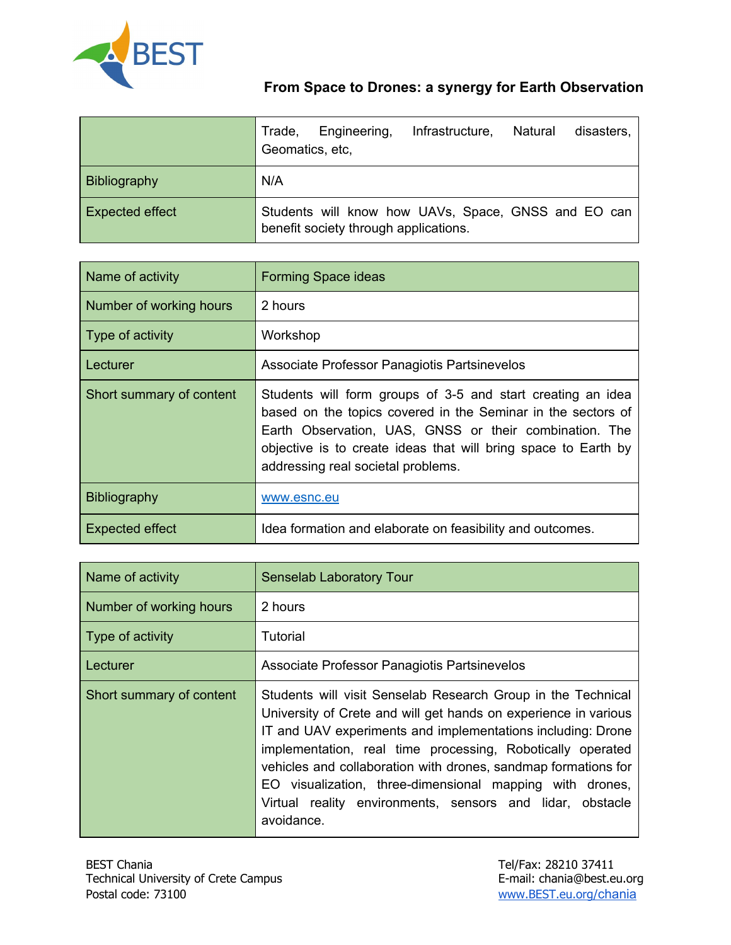

|                        | Infrastructure,<br>Engineering,<br>Natural<br>disasters,<br>Trade,<br>Geomatics, etc.        |
|------------------------|----------------------------------------------------------------------------------------------|
| Bibliography           | N/A                                                                                          |
| <b>Expected effect</b> | Students will know how UAVs, Space, GNSS and EO can<br>benefit society through applications. |

| Name of activity         | <b>Forming Space ideas</b>                                                                                                                                                                                                                                                                    |
|--------------------------|-----------------------------------------------------------------------------------------------------------------------------------------------------------------------------------------------------------------------------------------------------------------------------------------------|
| Number of working hours  | 2 hours                                                                                                                                                                                                                                                                                       |
| Type of activity         | Workshop                                                                                                                                                                                                                                                                                      |
| Lecturer                 | Associate Professor Panagiotis Partsinevelos                                                                                                                                                                                                                                                  |
| Short summary of content | Students will form groups of 3-5 and start creating an idea<br>based on the topics covered in the Seminar in the sectors of<br>Earth Observation, UAS, GNSS or their combination. The<br>objective is to create ideas that will bring space to Earth by<br>addressing real societal problems. |
| <b>Bibliography</b>      | www.esnc.eu                                                                                                                                                                                                                                                                                   |
| <b>Expected effect</b>   | Idea formation and elaborate on feasibility and outcomes.                                                                                                                                                                                                                                     |

| Name of activity         | <b>Senselab Laboratory Tour</b>                                                                                                                                                                                                                                                                                                                                                                                                                                       |
|--------------------------|-----------------------------------------------------------------------------------------------------------------------------------------------------------------------------------------------------------------------------------------------------------------------------------------------------------------------------------------------------------------------------------------------------------------------------------------------------------------------|
| Number of working hours  | 2 hours                                                                                                                                                                                                                                                                                                                                                                                                                                                               |
| Type of activity         | Tutorial                                                                                                                                                                                                                                                                                                                                                                                                                                                              |
| Lecturer                 | Associate Professor Panagiotis Partsinevelos                                                                                                                                                                                                                                                                                                                                                                                                                          |
| Short summary of content | Students will visit Senselab Research Group in the Technical<br>University of Crete and will get hands on experience in various<br>IT and UAV experiments and implementations including: Drone<br>implementation, real time processing, Robotically operated<br>vehicles and collaboration with drones, sandmap formations for<br>EO visualization, three-dimensional mapping with drones,<br>Virtual reality environments, sensors and lidar, obstacle<br>avoidance. |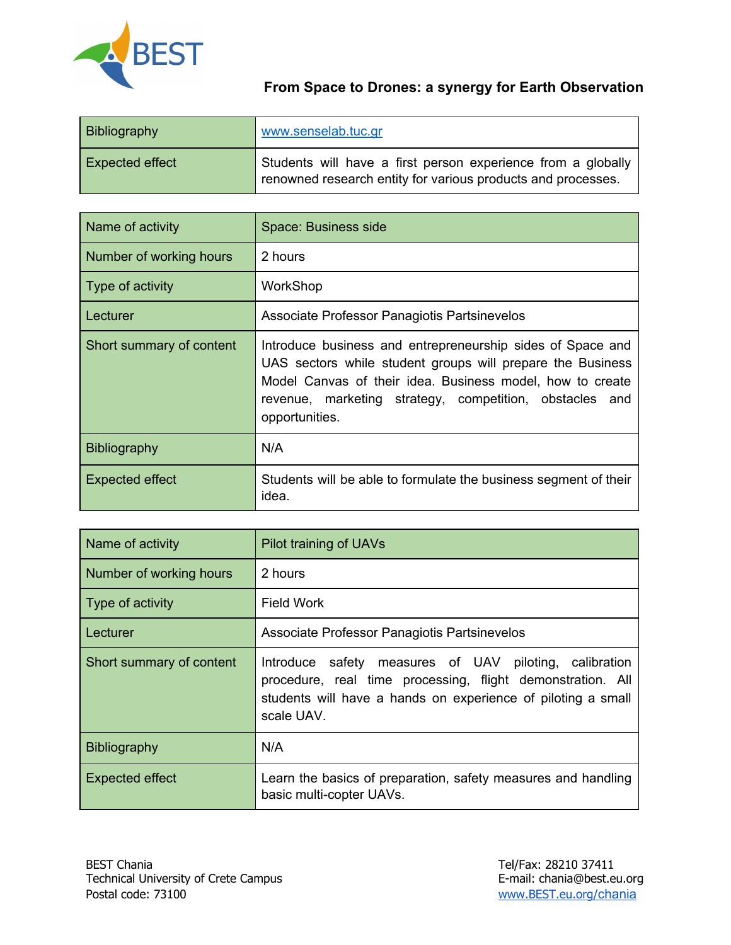

| <b>Bibliography</b>    | www.senselab.tuc.gr                                                                                                          |
|------------------------|------------------------------------------------------------------------------------------------------------------------------|
| <b>Expected effect</b> | Students will have a first person experience from a globally<br>renowned research entity for various products and processes. |

| Name of activity         | Space: Business side                                                                                                                                                                                                                                               |
|--------------------------|--------------------------------------------------------------------------------------------------------------------------------------------------------------------------------------------------------------------------------------------------------------------|
| Number of working hours  | 2 hours                                                                                                                                                                                                                                                            |
| Type of activity         | WorkShop                                                                                                                                                                                                                                                           |
| Lecturer                 | Associate Professor Panagiotis Partsinevelos                                                                                                                                                                                                                       |
| Short summary of content | Introduce business and entrepreneurship sides of Space and<br>UAS sectors while student groups will prepare the Business<br>Model Canvas of their idea. Business model, how to create<br>revenue, marketing strategy, competition, obstacles and<br>opportunities. |
| <b>Bibliography</b>      | N/A                                                                                                                                                                                                                                                                |
| Expected effect          | Students will be able to formulate the business segment of their<br>idea.                                                                                                                                                                                          |

| Name of activity         | Pilot training of UAVs                                                                                                                                                                                |
|--------------------------|-------------------------------------------------------------------------------------------------------------------------------------------------------------------------------------------------------|
| Number of working hours  | 2 hours                                                                                                                                                                                               |
| Type of activity         | <b>Field Work</b>                                                                                                                                                                                     |
| ∣ Lecturer               | Associate Professor Panagiotis Partsinevelos                                                                                                                                                          |
| Short summary of content | safety measures of UAV piloting, calibration<br>Introduce<br>procedure, real time processing, flight demonstration. All<br>students will have a hands on experience of piloting a small<br>scale UAV. |
| <b>Bibliography</b>      | N/A                                                                                                                                                                                                   |
| <b>Expected effect</b>   | Learn the basics of preparation, safety measures and handling<br>basic multi-copter UAVs.                                                                                                             |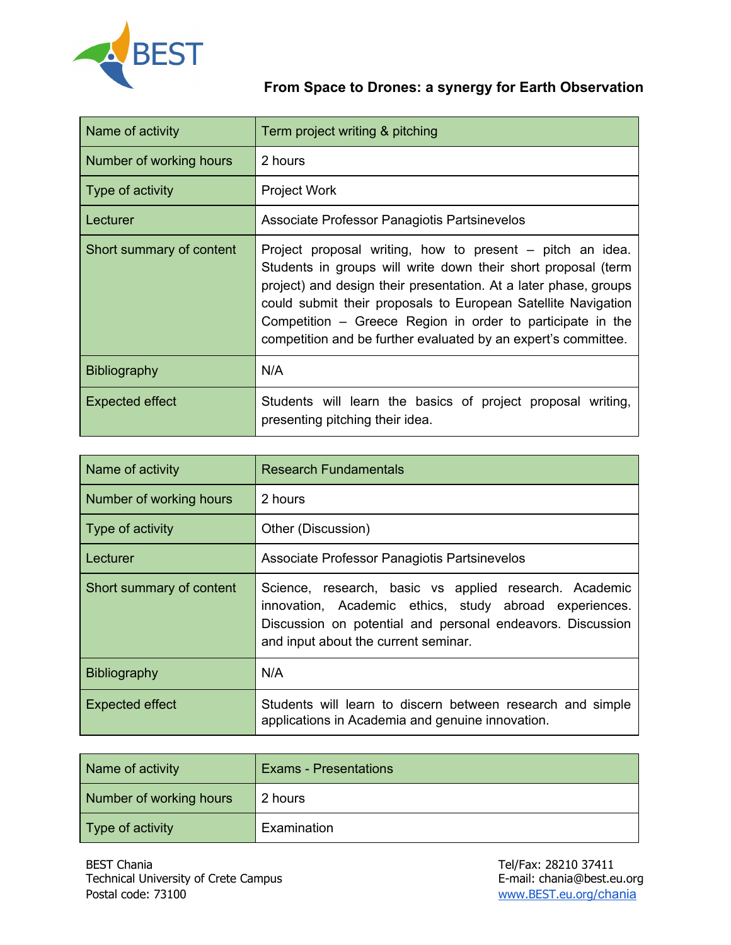

| Name of activity         | Term project writing & pitching                                                                                                                                                                                                                                                                                                                                                                 |
|--------------------------|-------------------------------------------------------------------------------------------------------------------------------------------------------------------------------------------------------------------------------------------------------------------------------------------------------------------------------------------------------------------------------------------------|
| Number of working hours  | 2 hours                                                                                                                                                                                                                                                                                                                                                                                         |
| Type of activity         | <b>Project Work</b>                                                                                                                                                                                                                                                                                                                                                                             |
| Lecturer                 | Associate Professor Panagiotis Partsinevelos                                                                                                                                                                                                                                                                                                                                                    |
| Short summary of content | Project proposal writing, how to present – pitch an idea.<br>Students in groups will write down their short proposal (term<br>project) and design their presentation. At a later phase, groups<br>could submit their proposals to European Satellite Navigation<br>Competition - Greece Region in order to participate in the<br>competition and be further evaluated by an expert's committee. |
| <b>Bibliography</b>      | N/A                                                                                                                                                                                                                                                                                                                                                                                             |
| Expected effect          | Students will learn the basics of project proposal writing,<br>presenting pitching their idea.                                                                                                                                                                                                                                                                                                  |

| Name of activity         | <b>Research Fundamentals</b>                                                                                                                                                                                           |
|--------------------------|------------------------------------------------------------------------------------------------------------------------------------------------------------------------------------------------------------------------|
| Number of working hours  | 2 hours                                                                                                                                                                                                                |
| Type of activity         | Other (Discussion)                                                                                                                                                                                                     |
| ∣ Lecturer               | Associate Professor Panagiotis Partsinevelos                                                                                                                                                                           |
| Short summary of content | Science, research, basic vs applied research. Academic<br>innovation, Academic ethics, study abroad experiences.<br>Discussion on potential and personal endeavors. Discussion<br>and input about the current seminar. |
| <b>Bibliography</b>      | N/A                                                                                                                                                                                                                    |
| <b>Expected effect</b>   | Students will learn to discern between research and simple<br>applications in Academia and genuine innovation.                                                                                                         |

| Name of activity        | <b>Exams - Presentations</b> |
|-------------------------|------------------------------|
| Number of working hours | 2 hours                      |
| Type of activity        | Examination                  |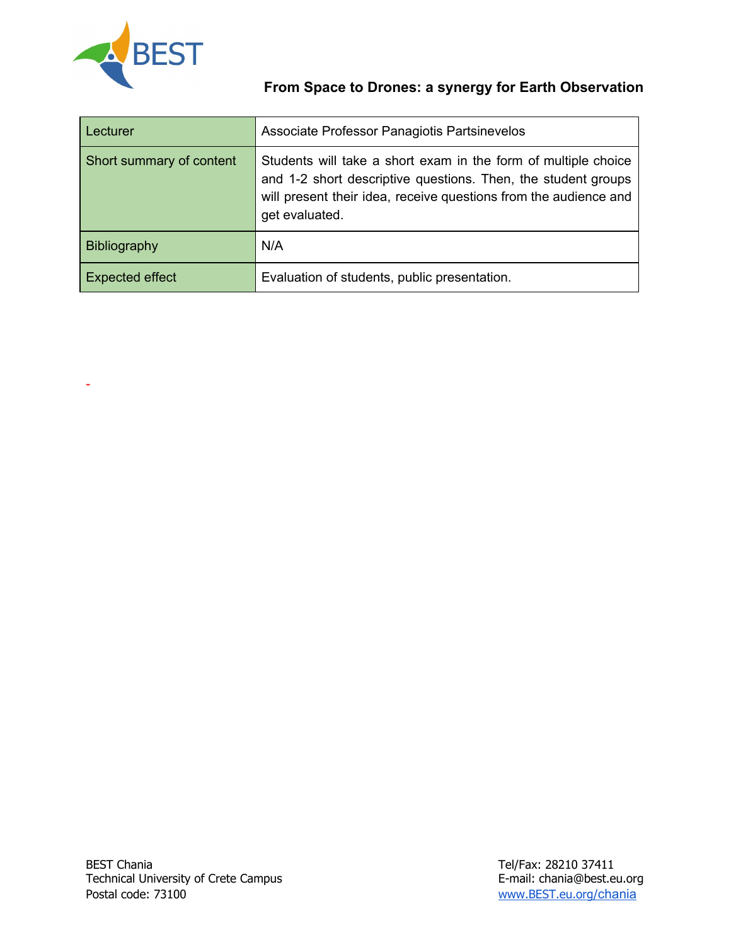

-

| Lecturer                 | Associate Professor Panagiotis Partsinevelos                                                                                                                                                                          |
|--------------------------|-----------------------------------------------------------------------------------------------------------------------------------------------------------------------------------------------------------------------|
| Short summary of content | Students will take a short exam in the form of multiple choice<br>and 1-2 short descriptive questions. Then, the student groups<br>will present their idea, receive questions from the audience and<br>get evaluated. |
| Bibliography             | N/A                                                                                                                                                                                                                   |
| <b>Expected effect</b>   | Evaluation of students, public presentation.                                                                                                                                                                          |